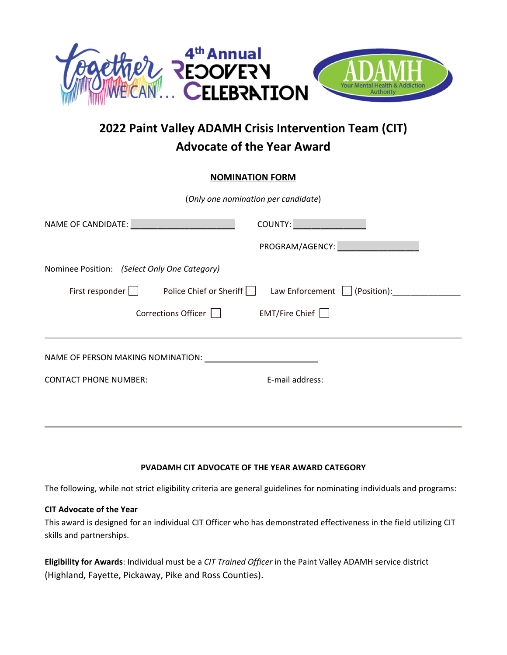

## **2022 Paint Valley ADAMH Crisis Intervention Team (CIT) Advocate of the Year Award**

#### **NOMINATION FORM**

| (Only one nomination per candidate)            |                                                |  |
|------------------------------------------------|------------------------------------------------|--|
| NAME OF CANDIDATE:                             | COUNTY:                                        |  |
|                                                | PROGRAM/AGENCY:                                |  |
| Nominee Position: (Select Only One Category)   |                                                |  |
| Police Chief or Sheriff    <br>First responder | Law Enforcement $\vert \ \vert$<br>(Position): |  |
| Corrections Officer                            | EMT/Fire Chief                                 |  |
|                                                |                                                |  |

# NAME OF PERSON MAKING NOMINATION: CONTACT PHONE NUMBER: E‐mail address:

### **PVADAMH CIT ADVOCATE OF THE YEAR AWARD CATEGORY**

The following, while not strict eligibility criteria are general guidelines for nominating individuals and programs:

### **CIT Advocate of the Year**

This award is designed for an individual CIT Officer who has demonstrated effectiveness in the field utilizing CIT skills and partnerships.

**Eligibility for Awards**: Individual must be a *CIT Trained Officer* in the Paint Valley ADAMH service district (Highland, Fayette, Pickaway, Pike and Ross Counties).